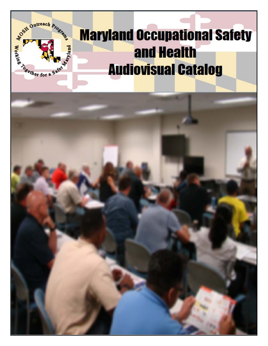

# **Maryland Occupational Safety and Health Audiovisual Catalog**

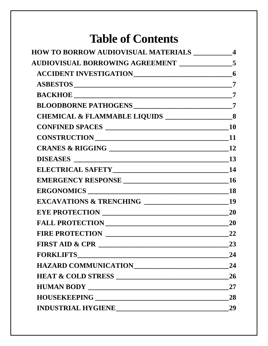## **Table of Contents**

|                                                                                                                                                                                                                                | $\overline{\mathbf{4}}$ |
|--------------------------------------------------------------------------------------------------------------------------------------------------------------------------------------------------------------------------------|-------------------------|
| <b>AUDIOVISUAL BORROWING AGREEMENT</b> ________________5                                                                                                                                                                       |                         |
|                                                                                                                                                                                                                                |                         |
|                                                                                                                                                                                                                                |                         |
|                                                                                                                                                                                                                                |                         |
| BLOODBORNE PATHOGENS ______________________________7                                                                                                                                                                           |                         |
|                                                                                                                                                                                                                                |                         |
|                                                                                                                                                                                                                                |                         |
|                                                                                                                                                                                                                                |                         |
|                                                                                                                                                                                                                                |                         |
|                                                                                                                                                                                                                                |                         |
|                                                                                                                                                                                                                                |                         |
|                                                                                                                                                                                                                                |                         |
|                                                                                                                                                                                                                                |                         |
|                                                                                                                                                                                                                                |                         |
|                                                                                                                                                                                                                                |                         |
|                                                                                                                                                                                                                                |                         |
|                                                                                                                                                                                                                                | 22                      |
|                                                                                                                                                                                                                                | 23                      |
|                                                                                                                                                                                                                                | 24                      |
| HAZARD COMMUNICATIONNNALLED AND THE RESERVE OF THE RESERVE OF THE RESERVE OF THE RESERVE OF THE RESERVE OF THE RESERVE OF THE RESERVE OF THE RESERVE OF THE RESERVE OF THE RESERVE OF THE RESERVE OF THE RESERVE OF THE RESERV | 24                      |
|                                                                                                                                                                                                                                | 26                      |
|                                                                                                                                                                                                                                | <b>27</b>               |
|                                                                                                                                                                                                                                | 28                      |
|                                                                                                                                                                                                                                | 29                      |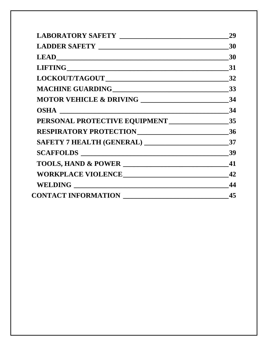|                              | 29 |
|------------------------------|----|
|                              | 30 |
|                              | 30 |
|                              |    |
|                              |    |
|                              | 33 |
|                              |    |
|                              |    |
|                              |    |
| RESPIRATORY PROTECTION<br>26 |    |
|                              |    |
|                              |    |
| TOOLS, HAND & POWER          | 41 |
| WORKPLACE VIOLENCE           | 42 |
|                              |    |
|                              |    |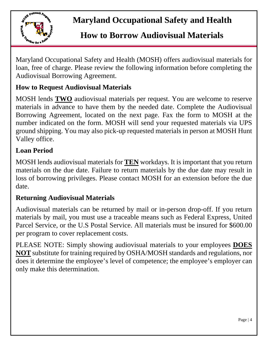

## **Maryland Occupational Safety and Health**

## <span id="page-3-0"></span> **How to Borrow Audiovisual Materials**

Maryland Occupational Safety and Health (MOSH) offers audiovisual materials for loan, free of charge. Please review the following information before completing the Audiovisual Borrowing Agreement.

### **How to Request Audiovisual Materials**

MOSH lends **TWO** audiovisual materials per request. You are welcome to reserve materials in advance to have them by the needed date. Complete the Audiovisual Borrowing Agreement, located on the next page. Fax the form to MOSH at the number indicated on the form. MOSH will send your requested materials via UPS ground shipping. You may also pick-up requested materials in person at MOSH Hunt Valley office.

#### **Loan Period**

MOSH lends audiovisual materials for **TEN** workdays. It is important that you return materials on the due date. Failure to return materials by the due date may result in loss of borrowing privileges. Please contact MOSH for an extension before the due date.

### **Returning Audiovisual Materials**

Audiovisual materials can be returned by mail or in-person drop-off. If you return materials by mail, you must use a traceable means such as Federal Express, United Parcel Service, or the U.S Postal Service. All materials must be insured for \$600.00 per program to cover replacement costs.

PLEASE NOTE: Simply showing audiovisual materials to your employees **DOES NOT** substitute for training required by OSHA/MOSH standards and regulations, nor does it determine the employee's level of competence; the employee's employer can only make this determination.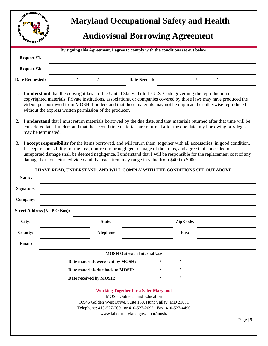<span id="page-4-0"></span>

| <b>DON OWNERGE Progr.</b><br><b>Maryland Occupational Safety and Health</b>                                                                                                                                                                                                                                                                                                                                                                                          |                                                                                                                                                                                                                                                    |                     |                  |           |  |  |
|----------------------------------------------------------------------------------------------------------------------------------------------------------------------------------------------------------------------------------------------------------------------------------------------------------------------------------------------------------------------------------------------------------------------------------------------------------------------|----------------------------------------------------------------------------------------------------------------------------------------------------------------------------------------------------------------------------------------------------|---------------------|------------------|-----------|--|--|
| <b>Montgot for the American Street</b>                                                                                                                                                                                                                                                                                                                                                                                                                               |                                                                                                                                                                                                                                                    |                     |                  |           |  |  |
| <b>Audiovisual Borrowing Agreement</b>                                                                                                                                                                                                                                                                                                                                                                                                                               |                                                                                                                                                                                                                                                    |                     |                  |           |  |  |
|                                                                                                                                                                                                                                                                                                                                                                                                                                                                      | By signing this Agreement, I agree to comply with the conditions set out below.                                                                                                                                                                    |                     |                  |           |  |  |
| Request #1:                                                                                                                                                                                                                                                                                                                                                                                                                                                          |                                                                                                                                                                                                                                                    |                     |                  |           |  |  |
| Request #2:                                                                                                                                                                                                                                                                                                                                                                                                                                                          |                                                                                                                                                                                                                                                    |                     |                  |           |  |  |
| <b>Date Requested:</b>                                                                                                                                                                                                                                                                                                                                                                                                                                               |                                                                                                                                                                                                                                                    | <b>Date Needed:</b> |                  |           |  |  |
| I understand that the copyright laws of the United States, Title 17 U.S. Code governing the reproduction of<br>1.<br>copyrighted materials. Private institutions, associations, or companies covered by those laws may have produced the<br>videotapes borrowed from MOSH. I understand that these materials may not be duplicated or otherwise reproduced<br>without the express written permission of the producer.                                                |                                                                                                                                                                                                                                                    |                     |                  |           |  |  |
| 2.<br>may be terminated.                                                                                                                                                                                                                                                                                                                                                                                                                                             | I understand that I must return materials borrowed by the due date, and that materials returned after that time will be<br>considered late. I understand that the second time materials are returned after the due date, my borrowing privileges   |                     |                  |           |  |  |
| I accept responsibility for the items borrowed, and will return them, together with all accessories, in good condition.<br>3.<br>I accept responsibility for the loss, non-return or negligent damage of the items, and agree that concealed or<br>unreported damage shall be deemed negligence. I understand that I will be responsible for the replacement cost of any<br>damaged or non-returned video and that each item may range in value from \$400 to \$900. |                                                                                                                                                                                                                                                    |                     |                  |           |  |  |
|                                                                                                                                                                                                                                                                                                                                                                                                                                                                      | I HAVE READ, UNDERSTAND, AND WILL COMPLY WITH THE CONDITIONS SET OUT ABOVE.                                                                                                                                                                        |                     |                  |           |  |  |
| Name:                                                                                                                                                                                                                                                                                                                                                                                                                                                                |                                                                                                                                                                                                                                                    |                     |                  |           |  |  |
| <b>Signature:</b>                                                                                                                                                                                                                                                                                                                                                                                                                                                    |                                                                                                                                                                                                                                                    |                     |                  |           |  |  |
| Company:                                                                                                                                                                                                                                                                                                                                                                                                                                                             |                                                                                                                                                                                                                                                    |                     |                  |           |  |  |
| <b>Street Address (No P.O Box):</b>                                                                                                                                                                                                                                                                                                                                                                                                                                  |                                                                                                                                                                                                                                                    |                     |                  |           |  |  |
| City:                                                                                                                                                                                                                                                                                                                                                                                                                                                                | State:                                                                                                                                                                                                                                             |                     | <b>Zip Code:</b> |           |  |  |
| <b>County:</b>                                                                                                                                                                                                                                                                                                                                                                                                                                                       | <b>Telephone:</b>                                                                                                                                                                                                                                  |                     | Fax:             |           |  |  |
| Email:                                                                                                                                                                                                                                                                                                                                                                                                                                                               |                                                                                                                                                                                                                                                    |                     |                  |           |  |  |
|                                                                                                                                                                                                                                                                                                                                                                                                                                                                      | <b>MOSH Outreach Internal Use</b>                                                                                                                                                                                                                  |                     |                  |           |  |  |
|                                                                                                                                                                                                                                                                                                                                                                                                                                                                      | Date materials were sent by MOSH:                                                                                                                                                                                                                  | $\prime$            | $\prime$         |           |  |  |
|                                                                                                                                                                                                                                                                                                                                                                                                                                                                      | Date materials due back to MOSH:                                                                                                                                                                                                                   |                     |                  |           |  |  |
|                                                                                                                                                                                                                                                                                                                                                                                                                                                                      | Date received by MOSH:                                                                                                                                                                                                                             |                     | $\prime$         |           |  |  |
|                                                                                                                                                                                                                                                                                                                                                                                                                                                                      | <b>Working Together for a Safer Maryland</b><br><b>MOSH Outreach and Education</b><br>10946 Golden West Drive, Suite 160, Hunt Valley, MD 21031<br>Telephone: 410-527-2091 or 410-527-2092 Fax: 410-527-4490<br>www.labor.maryland.gov/labor/mosh/ |                     |                  |           |  |  |
|                                                                                                                                                                                                                                                                                                                                                                                                                                                                      |                                                                                                                                                                                                                                                    |                     |                  | Page $ 5$ |  |  |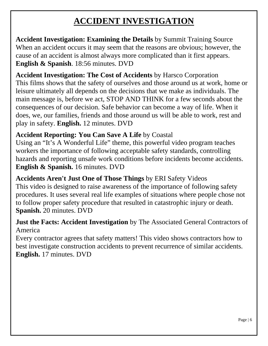## **ACCIDENT INVESTIGATION**

<span id="page-5-0"></span>**Accident Investigation: Examining the Details** by Summit Training Source When an accident occurs it may seem that the reasons are obvious; however, the cause of an accident is almost always more complicated than it first appears. **English & Spanish**. 18:56 minutes. DVD

**Accident Investigation: The Cost of Accidents** by Harsco Corporation This films shows that the safety of ourselves and those around us at work, home or leisure ultimately all depends on the decisions that we make as individuals. The main message is, before we act, STOP AND THINK for a few seconds about the consequences of our decision. Safe behavior can become a way of life. When it does, we, our families, friends and those around us will be able to work, rest and play in safety. **English.** 12 minutes. DVD

#### **Accident Reporting: You Can Save A Life** by Coastal

Using an "It's A Wonderful Life" theme, this powerful video program teaches workers the importance of following acceptable safety standards, controlling hazards and reporting unsafe work conditions before incidents become accidents. **English & Spanish.** 16 minutes. DVD

**Accidents Aren't Just One of Those Things** by ERI Safety Videos This video is designed to raise awareness of the importance of following safety procedures. It uses several real life examples of situations where people chose not to follow proper safety procedure that resulted in catastrophic injury or death. **Spanish.** 20 minutes. DVD

#### **Just the Facts: Accident Investigation** by The Associated General Contractors of America

Every contractor agrees that safety matters! This video shows contractors how to best investigate construction accidents to prevent recurrence of similar accidents. **English.** 17 minutes. DVD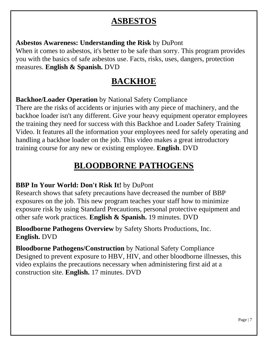### **ASBESTOS**

<span id="page-6-0"></span>**Asbestos Awareness: Understanding the Risk** by DuPont

When it comes to asbestos, it's better to be safe than sorry. This program provides you with the basics of safe asbestos use. Facts, risks, uses, dangers, protection measures. **English & Spanish.** DVD

### **BACKHOE**

<span id="page-6-1"></span>**Backhoe/Loader Operation** by National Safety Compliance

There are the risks of accidents or injuries with any piece of machinery, and the backhoe loader isn't any different. Give your heavy equipment operator employees the training they need for success with this Backhoe and Loader Safety Training Video. It features all the information your employees need for safely operating and handling a backhoe loader on the job. This video makes a great introductory training course for any new or existing employee. **English**. DVD

## **BLOODBORNE PATHOGENS**

### <span id="page-6-2"></span>**BBP In Your World: Don't Risk It!** by DuPont

Research shows that safety precautions have decreased the number of BBP exposures on the job. This new program teaches your staff how to minimize exposure risk by using Standard Precautions, personal protective equipment and other safe work practices. **English & Spanish.** 19 minutes. DVD

**Bloodborne Pathogens Overview** by Safety Shorts Productions, Inc. **English.** DVD

**Bloodborne Pathogens/Construction** by National Safety Compliance Designed to prevent exposure to HBV, HIV, and other bloodborne illnesses, this video explains the precautions necessary when administering first aid at a construction site. **English.** 17 minutes. DVD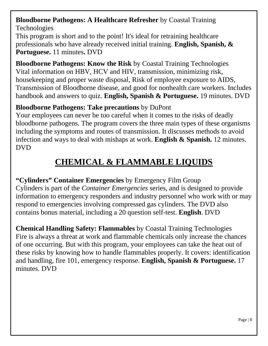#### **Bloodborne Pathogens: A Healthcare Refresher** by Coastal Training Technologies

This program is short and to the point! It's ideal for retraining healthcare professionals who have already received initial training. **English, Spanish, & Portuguese.** 11 minutes**.** DVD

**Bloodborne Pathogens: Know the Risk** by Coastal Training Technologies Vital information on HBV, HCV and HIV, transmission, minimizing risk, housekeeping and proper waste disposal, Risk of employee exposure to AIDS, Transmission of Bloodborne disease, and good for nonhealth care workers. Includes handbook and answers to quiz. **English, Spanish & Portuguese.** 19 minutes. DVD

### **Bloodborne Pathogens: Take precautions** by DuPont

Your employees can never be too careful when it comes to the risks of deadly bloodborne pathogens. The program covers the three main types of these organisms including the symptoms and routes of transmission. It discusses methods to avoid infection and ways to deal with mishaps at work. **English & Spanish.** 12 minutes. DVD

## **CHEMICAL & FLAMMABLE LIQUIDS**

<span id="page-7-0"></span>**"Cylinders" Container Emergencies** by Emergency Film Group Cylinders is part of the *Container Emergencies* series, and is designed to provide information to emergency responders and industry personnel who work with or may respond to emergencies involving compressed gas cylinders. The DVD also contains bonus material, including a 20 question self-test. **English**. DVD

**Chemical Handling Safety: Flammables** by Coastal Training Technologies Fire is always a threat at work and flammable chemicals only increase the chances of one occurring. But with this program, your employees can take the heat out of these risks by knowing how to handle flammables properly. It covers: identification and handling, fire 101, emergency response. **English, Spanish & Portuguese.** 17 minutes. DVD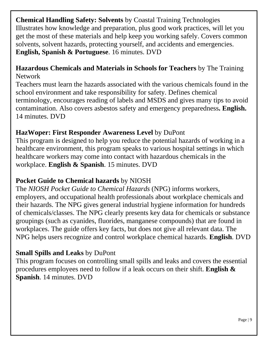**Chemical Handling Safety: Solvents** by Coastal Training Technologies Illustrates how knowledge and preparation, plus good work practices, will let you get the most of these materials and help keep you working safely. Covers common solvents, solvent hazards, protecting yourself, and accidents and emergencies. **English, Spanish & Portuguese**. 16 minutes. DVD

#### **Hazardous Chemicals and Materials in Schools for Teachers** by The Training Network

Teachers must learn the hazards associated with the various chemicals found in the school environment and take responsibility for safety. Defines chemical terminology, encourages reading of labels and MSDS and gives many tips to avoid contamination. Also covers asbestos safety and emergency preparedness**. English.**  14 minutes. DVD

#### **HazWoper: First Responder Awareness Level** by DuPont

This program is designed to help you reduce the potential hazards of working in a healthcare environment, this program speaks to various hospital settings in which healthcare workers may come into contact with hazardous chemicals in the workplace. **English & Spanish**. 15 minutes. DVD

#### **Pocket Guide to Chemical hazards** by NIOSH

The *NIOSH Pocket Guide to Chemical Hazards* (NPG) informs workers, employers, and occupational health professionals about workplace chemicals and their hazards. The NPG gives general industrial hygiene information for hundreds of chemicals/classes. The NPG clearly presents key data for chemicals or substance groupings (such as cyanides, fluorides, manganese compounds) that are found in workplaces. The guide offers key facts, but does not give all relevant data. The NPG helps users recognize and control workplace chemical hazards. **English**. DVD

### **Small Spills and Leaks** by DuPont

This program focuses on controlling small spills and leaks and covers the essential procedures employees need to follow if a leak occurs on their shift. **English & Spanish**. 14 minutes. DVD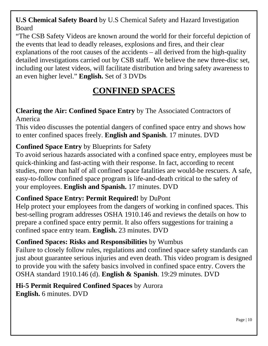**U.S Chemical Safety Board** by U.S Chemical Safety and Hazard Investigation Board

"The CSB Safety Videos are known around the world for their forceful depiction of the events that lead to deadly releases, explosions and fires, and their clear explanations of the root causes of the accidents – all derived from the high-quality detailed investigations carried out by CSB staff. We believe the new three-disc set, including our latest videos, will facilitate distribution and bring safety awareness to an even higher level." **English.** Set of 3 DVDs

## **CONFINED SPACES**

#### <span id="page-9-0"></span>**Clearing the Air: Confined Space Entry** by The Associated Contractors of America

This video discusses the potential dangers of confined space entry and shows how to enter confined spaces freely. **English and Spanish**. 17 minutes. DVD

### **Confined Space Entry** by Blueprints for Safety

To avoid serious hazards associated with a confined space entry, employees must be quick-thinking and fast-acting with their response. In fact, according to recent studies, more than half of all confined space fatalities are would-be rescuers. A safe, easy-to-follow confined space program is life-and-death critical to the safety of your employees. **English and Spanish.** 17 minutes. DVD

### **Confined Space Entry: Permit Required!** by DuPont

Help protect your employees from the dangers of working in confined spaces. This best-selling program addresses OSHA 1910.146 and reviews the details on how to prepare a confined space entry permit. It also offers suggestions for training a confined space entry team. **English.** 23 minutes. DVD

### **Confined Spaces: Risks and Responsibilities** by Wumbus

Failure to closely follow rules, regulations and confined space safety standards can just about guarantee serious injuries and even death. This video program is designed to provide you with the safety basics involved in confined space entry. Covers the OSHA standard 1910.146 (d). **English & Spanish**. 19:29 minutes. DVD

#### **Hi-5 Permit Required Confined Spaces** by Aurora **English.** 6 minutes. DVD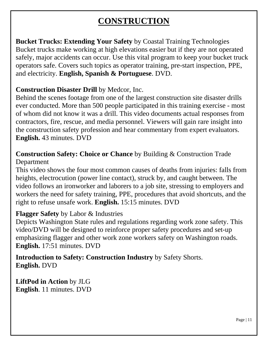## **CONSTRUCTION**

<span id="page-10-0"></span>**Bucket Trucks: Extending Your Safety** by Coastal Training Technologies Bucket trucks make working at high elevations easier but if they are not operated safely, major accidents can occur. Use this vital program to keep your bucket truck operators safe. Covers such topics as operator training, pre-start inspection, PPE, and electricity. **English, Spanish & Portuguese**. DVD.

#### **Construction Disaster Drill** by Medcor, Inc.

Behind the scenes footage from one of the largest construction site disaster drills ever conducted. More than 500 people participated in this training exercise - most of whom did not know it was a drill. This video documents actual responses from contractors, fire, rescue, and media personnel. Viewers will gain rare insight into the construction safety profession and hear commentary from expert evaluators. **English.** 43 minutes. DVD

#### **Construction Safety: Choice or Chance** by Building & Construction Trade Department

This video shows the four most common causes of deaths from injuries: falls from heights, electrocution (power line contact), struck by, and caught between. The video follows an ironworker and laborers to a job site, stressing to employers and workers the need for safety training, PPE, procedures that avoid shortcuts, and the right to refuse unsafe work. **English.** 15:15 minutes. DVD

#### **Flagger Safety** by Labor & Industries

Depicts Washington State rules and regulations regarding work zone safety. This video/DVD will be designed to reinforce proper safety procedures and set-up emphasizing flagger and other work zone workers safety on Washington roads. **English.** 17:51 minutes. DVD

**Introduction to Safety: Construction Industry** by Safety Shorts. **English.** DVD

**LiftPod in Action** by JLG **English**. 11 minutes. DVD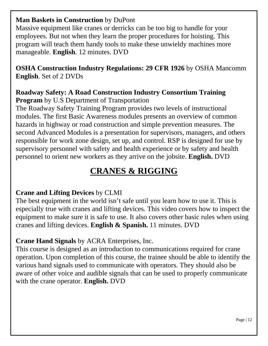#### **Man Baskets in Construction** by DuPont

Massive equipment like cranes or derricks can be too big to handle for your employees. But not when they learn the proper procedures for hoisting. This program will teach them handy tools to make these unwieldy machines more manageable. **English**. 12 minutes. DVD

**OSHA Construction Industry Regulations: 29 CFR 1926** by OSHA Mancomm **English**. Set of 2 DVDs

#### **Roadway Safety: A Road Construction Industry Consortium Training Program** by U.S Department of Transportation

The Roadway Safety Training Program provides two levels of instructional modules. The first Basic Awareness modules presents an overview of common hazards in highway or road construction and simple prevention measures. The second Advanced Modules is a presentation for supervisors, managers, and others responsible for work zone design, set up, and control. RSP is designed for use by supervisory personnel with safety and health experience or by safety and health personnel to orient new workers as they arrive on the jobsite. **English.** DVD

## **CRANES & RIGGING**

### <span id="page-11-0"></span>**Crane and Lifting Devices** by CLMI

The best equipment in the world isn't safe until you learn how to use it. This is especially true with cranes and lifting devices. This video covers how to inspect the equipment to make sure it is safe to use. It also covers other basic rules when using cranes and lifting devices. **English & Spanish.** 11 minutes. DVD

### **Crane Hand Signals** by ACRA Enterprises, Inc.

This course is designed as an introduction to communications required for crane operation. Upon completion of this course, the trainee should be able to identify the various hand signals used to communicate with operators. They should also be aware of other voice and audible signals that can be used to properly communicate with the crane operator. **English.** DVD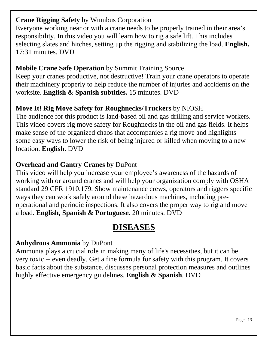#### **Crane Rigging Safety** by Wumbus Corporation

Everyone working near or with a crane needs to be properly trained in their area's responsibility. In this video you will learn how to rig a safe lift. This includes selecting slates and hitches, setting up the rigging and stabilizing the load. **English.** 17:31 minutes. DVD

### **Mobile Crane Safe Operation** by Summit Training Source

Keep your cranes productive, not destructive! Train your crane operators to operate their machinery properly to help reduce the number of injuries and accidents on the worksite. **English & Spanish subtitles.** 15 minutes. DVD

### **Move It! Rig Move Safety for Roughnecks/Truckers** by NIOSH

The audience for this product is land-based oil and gas drilling and service workers. This video covers rig move safety for Roughnecks in the oil and gas fields. It helps make sense of the organized chaos that accompanies a rig move and highlights some easy ways to lower the risk of being injured or killed when moving to a new location. **English**. DVD

### **Overhead and Gantry Cranes** by DuPont

This video will help you increase your employee's awareness of the hazards of working with or around cranes and will help your organization comply with OSHA standard 29 CFR 1910.179. Show maintenance crews, operators and riggers specific ways they can work safely around these hazardous machines, including preoperational and periodic inspections. It also covers the proper way to rig and move a load. **English, Spanish & Portuguese.** 20 minutes. DVD

### **DISEASES**

### <span id="page-12-0"></span>**Anhydrous Ammonia** by DuPont

Ammonia plays a crucial role in making many of life's necessities, but it can be very toxic -- even deadly. Get a fine formula for safety with this program. It covers basic facts about the substance, discusses personal protection measures and outlines highly effective emergency guidelines. **English & Spanish**. DVD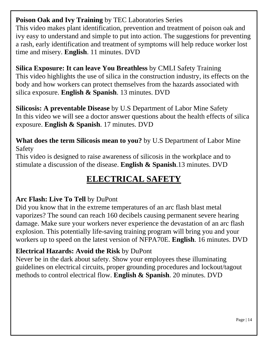**Poison Oak and Ivy Training** by TEC Laboratories Series This video makes plant identification, prevention and treatment of poison oak and ivy easy to understand and simple to put into action. The suggestions for preventing a rash, early identification and treatment of symptoms will help reduce worker lost time and misery. **English**. 11 minutes. DVD

**Silica Exposure: It can leave You Breathless** by CMLI Safety Training This video highlights the use of silica in the construction industry, its effects on the body and how workers can protect themselves from the hazards associated with silica exposure. **English & Spanish**. 13 minutes. DVD

**Silicosis: A preventable Disease** by U.S Department of Labor Mine Safety In this video we will see a doctor answer questions about the health effects of silica exposure. **English & Spanish**. 17 minutes. DVD

**What does the term Silicosis mean to you?** by U.S Department of Labor Mine Safety

<span id="page-13-0"></span>This video is designed to raise awareness of silicosis in the workplace and to stimulate a discussion of the disease. **English & Spanish**.13 minutes. DVD

## **ELECTRICAL SAFETY**

### **Arc Flash: Live To Tell** by DuPont

Did you know that in the extreme temperatures of an arc flash blast metal vaporizes? The sound can reach 160 decibels causing permanent severe hearing damage. Make sure your workers never experience the devastation of an arc flash explosion. This potentially life-saving training program will bring you and your workers up to speed on the latest version of NFPA70E. **English**. 16 minutes. DVD

### **Electrical Hazards: Avoid the Risk** by DuPont

Never be in the dark about safety. Show your employees these illuminating guidelines on electrical circuits, proper grounding procedures and lockout/tagout methods to control electrical flow. **English & Spanish**. 20 minutes. DVD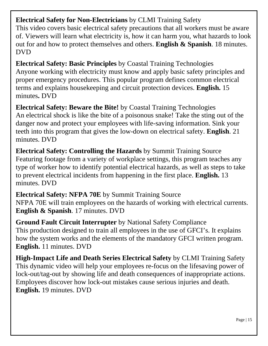**Electrical Safety for Non-Electricians** by CLMI Training Safety

This video covers basic electrical safety precautions that all workers must be aware of. Viewers will learn what electricity is, how it can harm you, what hazards to look out for and how to protect themselves and others. **English & Spanish**. 18 minutes. DVD

**Electrical Safety: Basic Principles** by Coastal Training Technologies Anyone working with electricity must know and apply basic safety principles and proper emergency procedures. This popular program defines common electrical terms and explains housekeeping and circuit protection devices. **English.** 15 minutes**.** DVD

**Electrical Safety: Beware the Bite!** by Coastal Training Technologies An electrical shock is like the bite of a poisonous snake! Take the sting out of the danger now and protect your employees with life-saving information. Sink your teeth into this program that gives the low-down on electrical safety. **English**. 21 minutes. DVD

**Electrical Safety: Controlling the Hazards** by Summit Training Source Featuring footage from a variety of workplace settings, this program teaches any type of worker how to identify potential electrical hazards, as well as steps to take to prevent electrical incidents from happening in the first place. **English.** 13 minutes. DVD

**Electrical Safety: NFPA 70E** by Summit Training Source NFPA 70E will train employees on the hazards of working with electrical currents. **English & Spanish**. 17 minutes. DVD

**Ground Fault Circuit Interrupter** by National Safety Compliance This production designed to train all employees in the use of GFCI's. It explains how the system works and the elements of the mandatory GFCI written program. **English.** 11 minutes. DVD

**High-Impact Life and Death Series Electrical Safety** by CLMI Training Safety This dynamic video will help your employees re-focus on the lifesaving power of lock-out/tag-out by showing life and death consequences of inappropriate actions. Employees discover how lock-out mistakes cause serious injuries and death. **English.** 19 minutes. DVD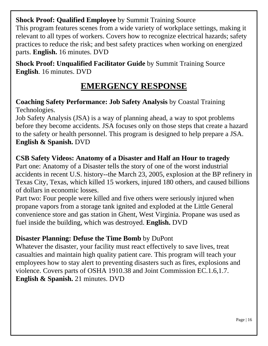**Shock Proof: Qualified Employee** by Summit Training Source This program features scenes from a wide variety of workplace settings, making it relevant to all types of workers. Covers how to recognize electrical hazards; safety practices to reduce the risk; and best safety practices when working on energized parts. **English.** 16 minutes. DVD

**Shock Proof: Unqualified Facilitator Guide** by Summit Training Source **English**. 16 minutes. DVD

### **EMERGENCY RESPONSE**

#### <span id="page-15-0"></span>**Coaching Safety Performance: Job Safety Analysis** by Coastal Training Technologies.

Job Safety Analysis (JSA) is a way of planning ahead, a way to spot problems before they become accidents. JSA focuses only on those steps that create a hazard to the safety or health personnel. This program is designed to help prepare a JSA. **English & Spanish.** DVD

### **CSB Safety Videos: Anatomy of a Disaster and Half an Hour to tragedy**

Part one: Anatomy of a Disaster tells the story of one of the worst industrial accidents in recent U.S. history--the March 23, 2005, explosion at the BP refinery in Texas City, Texas, which killed 15 workers, injured 180 others, and caused billions of dollars in economic losses.

Part two: Four people were killed and five others were seriously injured when propane vapors from a storage tank ignited and exploded at the Little General convenience store and gas station in Ghent, West Virginia. Propane was used as fuel inside the building, which was destroyed. **English.** DVD

#### **Disaster Planning: Defuse the Time Bomb** by DuPont

Whatever the disaster, your facility must react effectively to save lives, treat casualties and maintain high quality patient care. This program will teach your employees how to stay alert to preventing disasters such as fires, explosions and violence. Covers parts of OSHA 1910.38 and Joint Commission EC.1.6,1.7. **English & Spanish.** 21 minutes. DVD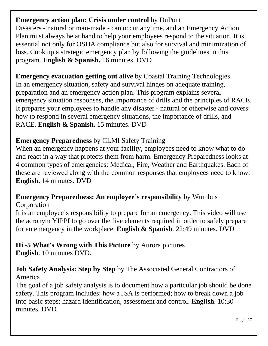#### **Emergency action plan: Crisis under control** by DuPont

Disasters - natural or man-made - can occur anytime, and an Emergency Action Plan must always be at hand to help your employees respond to the situation. It is essential not only for OSHA compliance but also for survival and minimization of loss. Cook up a strategic emergency plan by following the guidelines in this program. **English & Spanish.** 16 minutes. DVD

**Emergency evacuation getting out alive** by Coastal Training Technologies In an emergency situation, safety and survival hinges on adequate training, preparation and an emergency action plan. This program explains several emergency situation responses, the importance of drills and the principles of RACE. It prepares your employees to handle any disaster - natural or otherwise and covers: how to respond in several emergency situations, the importance of drills, and RACE. **English & Spanish.** 15 minutes. DVD

### **Emergency Preparedness** by CLMI Safety Training

When an emergency happens at your facility, employees need to know what to do and react in a way that protects them from harm. Emergency Preparedness looks at 4 common types of emergencies: Medical, Fire, Weather and Earthquakes. Each of these are reviewed along with the common responses that employees need to know. **English.** 14 minutes. DVD

#### **Emergency Preparedness: An employee's responsibility** by Wumbus Corporation

It is an employee's responsibility to prepare for an emergency. This video will use the acronym YIPPI to go over the five elements required in order to safely prepare for an emergency in the workplace. **English & Spanish**. 22:49 minutes. DVD

**Hi -5 What's Wrong with This Picture** by Aurora pictures **English**. 10 minutes DVD.

**Job Safety Analysis: Step by Step** by The Associated General Contractors of America

The goal of a job safety analysis is to document how a particular job should be done safety. This program includes: how a JSA is performed; how to break down a job into basic steps; hazard identification, assessment and control. **English.** 10:30 minutes. DVD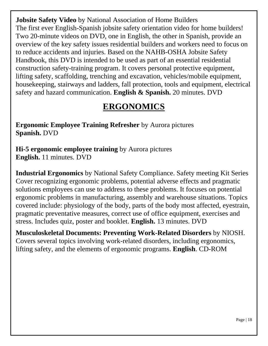**Jobsite Safety Video** by National Association of Home Builders The first ever English-Spanish jobsite safety orientation video for home builders! Two 20-minute videos on DVD, one in English, the other in Spanish, provide an overview of the key safety issues residential builders and workers need to focus on to reduce accidents and injuries. Based on the NAHB-OSHA Jobsite Safety Handbook, this DVD is intended to be used as part of an essential residential construction safety-training program. It covers personal protective equipment, lifting safety, scaffolding, trenching and excavation, vehicles/mobile equipment, housekeeping, stairways and ladders, fall protection, tools and equipment, electrical safety and hazard communication. **English & Spanish.** 20 minutes. DVD

### **ERGONOMICS**

<span id="page-17-0"></span>**Ergonomic Employee Training Refresher** by Aurora pictures **Spanish.** DVD

**Hi-5 ergonomic employee training** by Aurora pictures **English.** 11 minutes. DVD

**Industrial Ergonomics** by National Safety Compliance. Safety meeting Kit Series Cover recognizing ergonomic problems, potential adverse effects and pragmatic solutions employees can use to address to these problems. It focuses on potential ergonomic problems in manufacturing, assembly and warehouse situations. Topics covered include: physiology of the body, parts of the body most affected, eyestrain, pragmatic preventative measures, correct use of office equipment, exercises and stress. Includes quiz, poster and booklet. **English.** 13 minutes. DVD

**Musculoskeletal Documents: Preventing Work-Related Disorders** by NIOSH. Covers several topics involving work-related disorders, including ergonomics, lifting safety, and the elements of ergonomic programs. **English**. CD-ROM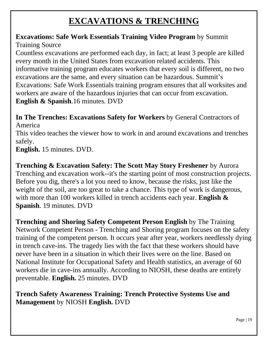### **EXCAVATIONS & TRENCHING**

#### <span id="page-18-0"></span>**Excavations: Safe Work Essentials Training Video Program** by Summit Training Source

Countless excavations are performed each day, in fact; at least 3 people are killed every month in the United States from excavation related accidents. This informative training program educates workers that every soil is different, no two excavations are the same, and every situation can be hazardous. Summit's Excavations: Safe Work Essentials training program ensures that all worksites and workers are aware of the hazardous injuries that can occur from excavation. **English & Spanish**.16 minutes. DVD

**In The Trenches: Excavations Safety for Workers** by General Contractors of America

This video teaches the viewer how to work in and around excavations and trenches safely.

**English.** 15 minutes. DVD.

**Trenching & Excavation Safety: The Scott May Story Freshener** by Aurora Trenching and excavation work--it's the starting point of most construction projects. Before you dig, there's a lot you need to know, because the risks, just like the weight of the soil, are too great to take a chance. This type of work is dangerous, with more than 100 workers killed in trench accidents each year. **English & Spanish**. 19 minutes. DVD

**Trenching and Shoring Safety Competent Person English** by The Training Network Competent Person - Trenching and Shoring program focuses on the safety training of the competent person. It occurs year after year, workers needlessly dying in trench cave-ins. The tragedy lies with the fact that these workers should have never have been in a situation in which their lives were on the line. Based on National Institute for Occupational Safety and Health statistics, an average of 60 workers die in cave-ins annually. According to NIOSH, these deaths are entirely preventable. **English.** 25 minutes. DVD

#### **Trench Safety Awareness Training: Trench Protective Systems Use and Management** by NIOSH **English.** DVD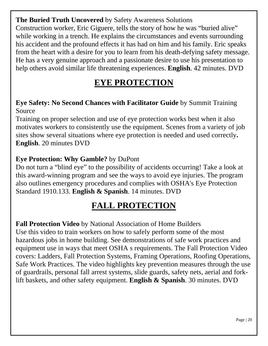**The Buried Truth Uncovered** by Safety Awareness Solutions Construction worker, Eric Giguere, tells the story of how he was "buried alive" while working in a trench. He explains the circumstances and events surrounding his accident and the profound effects it has had on him and his family. Eric speaks from the heart with a desire for you to learn from his death-defying safety message. He has a very genuine approach and a passionate desire to use his presentation to help others avoid similar life threatening experiences. **English**. 42 minutes. DVD

### **EYE PROTECTION**

#### <span id="page-19-0"></span>**Eye Safety: No Second Chances with Facilitator Guide** by Summit Training Source

Training on proper selection and use of eye protection works best when it also motivates workers to consistently use the equipment. Scenes from a variety of job sites show several situations where eye protection is needed and used correctly**. English**. 20 minutes DVD

#### **Eye Protection: Why Gamble?** by DuPont

Do not turn a "blind eye" to the possibility of accidents occurring! Take a look at this award-winning program and see the ways to avoid eye injuries. The program also outlines emergency procedures and complies with OSHA's Eye Protection Standard 1910.133. **English & Spanish**. 14 minutes. DVD

### **FALL PROTECTION**

<span id="page-19-1"></span>**Fall Protection Video** by National Association of Home Builders Use this video to train workers on how to safely perform some of the most hazardous jobs in home building. See demonstrations of safe work practices and equipment use in ways that meet OSHA s requirements. The Fall Protection Video covers: Ladders, Fall Protection Systems, Framing Operations, Roofing Operations, Safe Work Practices. The video highlights key prevention measures through the use of guardrails, personal fall arrest systems, slide guards, safety nets, aerial and forklift baskets, and other safety equipment. **English & Spanish**. 30 minutes. DVD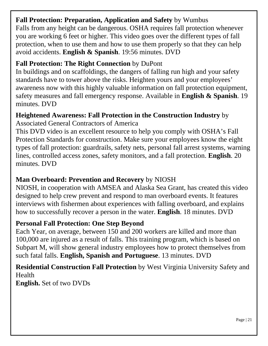#### **Fall Protection: Preparation, Application and Safety** by Wumbus

Falls from any height can be dangerous. OSHA requires fall protection whenever you are working 6 feet or higher. This video goes over the different types of fall protection, when to use them and how to use them properly so that they can help avoid accidents. **English & Spanish**. 19:56 minutes. DVD

#### **Fall Protection: The Right Connection** by DuPont

In buildings and on scaffoldings, the dangers of falling run high and your safety standards have to tower above the risks. Heighten yours and your employees' awareness now with this highly valuable information on fall protection equipment, safety measures and fall emergency response. Available in **English & Spanish**. 19 minutes. DVD

#### **Heightened Awareness: Fall Protection in the Construction Industry** by

Associated General Contractors of America

This DVD video is an excellent resource to help you comply with OSHA's Fall Protection Standards for construction. Make sure your employees know the eight types of fall protection: guardrails, safety nets, personal fall arrest systems, warning lines, controlled access zones, safety monitors, and a fall protection. **English**. 20 minutes. DVD

#### **Man Overboard: Prevention and Recovery** by NIOSH

NIOSH, in cooperation with AMSEA and Alaska Sea Grant, has created this video designed to help crew prevent and respond to man overboard events. It features interviews with fishermen about experiences with falling overboard, and explains how to successfully recover a person in the water. **English**. 18 minutes. DVD

#### **Personal Fall Protection: One Step Beyond**

Each Year, on average, between 150 and 200 workers are killed and more than 100,000 are injured as a result of falls. This training program, which is based on Subpart M, will show general industry employees how to protect themselves from such fatal falls. **English, Spanish and Portuguese**. 13 minutes. DVD

**Residential Construction Fall Protection** by West Virginia University Safety and Health **English.** Set of two DVDs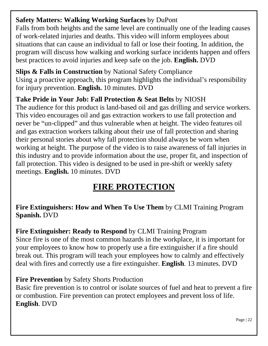### **Safety Matters: Walking Working Surfaces** by DuPont

Falls from both heights and the same level are continually one of the leading causes of work-related injuries and deaths. This video will inform employees about situations that can cause an individual to fall or lose their footing. In addition, the program will discuss how walking and working surface incidents happen and offers best practices to avoid injuries and keep safe on the job. **English.** DVD

**Slips & Falls in Construction** by National Safety Compliance Using a proactive approach, this program highlights the individual's responsibility for injury prevention. **English.** 10 minutes. DVD

### **Take Pride in Your Job: Fall Protection & Seat Belts** by NIOSH

The audience for this product is land-based oil and gas drilling and service workers. This video encourages oil and gas extraction workers to use fall protection and never be "un-clipped" and thus vulnerable when at height. The video features oil and gas extraction workers talking about their use of fall protection and sharing their personal stories about why fall protection should always be worn when working at height. The purpose of the video is to raise awareness of fall injuries in this industry and to provide information about the use, proper fit, and inspection of fall protection. This video is designed to be used in pre-shift or weekly safety meetings. **English.** 10 minutes. DVD

## **FIRE PROTECTION**

<span id="page-21-0"></span>**Fire Extinguishers: How and When To Use Them** by CLMI Training Program **Spanish.** DVD

**Fire Extinguisher: Ready to Respond** by CLMI Training Program

Since fire is one of the most common hazards in the workplace, it is important for your employees to know how to properly use a fire extinguisher if a fire should break out. This program will teach your employees how to calmly and effectively deal with fires and correctly use a fire extinguisher. **English**. 13 minutes. DVD

### **Fire Prevention** by Safety Shorts Production

Basic fire prevention is to control or isolate sources of fuel and heat to prevent a fire or combustion. Fire prevention can protect employees and prevent loss of life. **English**. DVD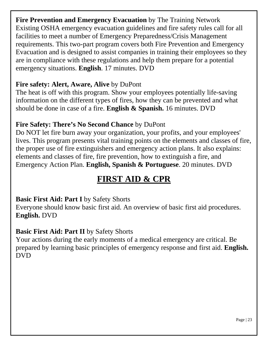**Fire Prevention and Emergency Evacuation** by The Training Network Existing OSHA emergency evacuation guidelines and fire safety rules call for all facilities to meet a number of Emergency Preparedness/Crisis Management requirements. This two-part program covers both Fire Prevention and Emergency Evacuation and is designed to assist companies in training their employees so they are in compliance with these regulations and help them prepare for a potential emergency situations. **English**. 17 minutes. DVD

#### **Fire safety: Alert, Aware, Alive** by DuPont

The heat is off with this program. Show your employees potentially life-saving information on the different types of fires, how they can be prevented and what should be done in case of a fire. **English & Spanish.** 16 minutes. DVD

### **Fire Safety: There's No Second Chance** by DuPont

Do NOT let fire burn away your organization, your profits, and your employees' lives. This program presents vital training points on the elements and classes of fire, the proper use of fire extinguishers and emergency action plans. It also explains: elements and classes of fire, fire prevention, how to extinguish a fire, and Emergency Action Plan. **English, Spanish & Portuguese**. 20 minutes. DVD

### **FIRST AID & CPR**

#### <span id="page-22-0"></span>**Basic First Aid: Part I by Safety Shorts**

Everyone should know basic first aid. An overview of basic first aid procedures. **English.** DVD

#### **Basic First Aid: Part II** by Safety Shorts

Your actions during the early moments of a medical emergency are critical. Be prepared by learning basic principles of emergency response and first aid. **English.**  DVD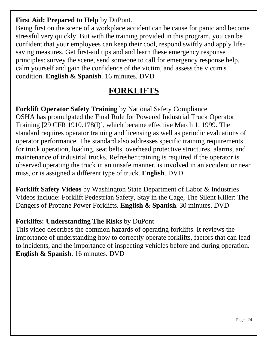#### **First Aid: Prepared to Help** by DuPont.

Being first on the scene of a workplace accident can be cause for panic and become stressful very quickly. But with the training provided in this program, you can be confident that your employees can keep their cool, respond swiftly and apply lifesaving measures. Get first-aid tips and and learn these emergency response principles: survey the scene, send someone to call for emergency response help, calm yourself and gain the confidence of the victim, and assess the victim's condition. **English & Spanish**. 16 minutes. DVD

### **FORKLIFTS**

<span id="page-23-0"></span>**Forklift Operator Safety Training** by National Safety Compliance OSHA has promulgated the Final Rule for Powered Industrial Truck Operator Training [29 CFR 1910.178(l)], which became effective March 1, 1999. The standard requires operator training and licensing as well as periodic evaluations of operator performance. The standard also addresses specific training requirements for truck operation, loading, seat belts, overhead protective structures, alarms, and maintenance of industrial trucks. Refresher training is required if the operator is observed operating the truck in an unsafe manner, is involved in an accident or near miss, or is assigned a different type of truck. **English**. DVD

**Forklift Safety Videos** by Washington State Department of Labor & Industries Videos include: Forklift Pedestrian Safety, Stay in the Cage, The Silent Killer: The Dangers of Propane Power Forklifts. **English & Spanish**. 30 minutes. DVD

### **Forklifts: Understanding The Risks** by DuPont

<span id="page-23-1"></span>This video describes the common hazards of operating forklifts. It reviews the importance of understanding how to correctly operate forklifts, factors that can lead to incidents, and the importance of inspecting vehicles before and during operation. **English & Spanish**. 16 minutes. DVD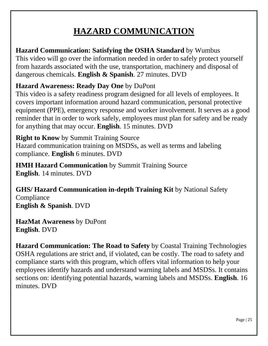## **HAZARD COMMUNICATION**

**Hazard Communication: Satisfying the OSHA Standard** by Wumbus This video will go over the information needed in order to safely protect yourself from hazards associated with the use, transportation, machinery and disposal of dangerous chemicals. **English & Spanish**. 27 minutes. DVD

### **Hazard Awareness: Ready Day One** by DuPont

This video is a safety readiness program designed for all levels of employees. It covers important information around hazard communication, personal protective equipment (PPE), emergency response and worker involvement. It serves as a good reminder that in order to work safely, employees must plan for safety and be ready for anything that may occur. **English**. 15 minutes. DVD

**Right to Know** by Summit Training Source Hazard communication training on MSDSs, as well as terms and labeling compliance. **English** 6 minutes. DVD

**HMH Hazard Communication** by Summit Training Source **English**. 14 minutes. DVD

**GHS/ Hazard Communication in-depth Training Kit** by National Safety Compliance **English & Spanish**. DVD

**HazMat Awareness** by DuPont **English**. DVD

**Hazard Communication: The Road to Safety** by Coastal Training Technologies OSHA regulations are strict and, if violated, can be costly. The road to safety and compliance starts with this program, which offers vital information to help your employees identify hazards and understand warning labels and MSDSs. It contains sections on: identifying potential hazards, warning labels and MSDSs. **English**. 16 minutes. DVD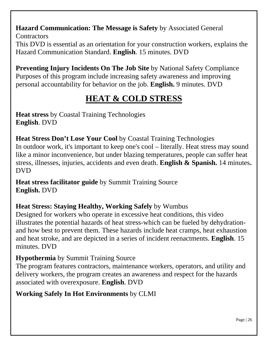**Hazard Communication: The Message is Safety** by Associated General **Contractors** This DVD is essential as an orientation for your construction workers, explains the

Hazard Communication Standard. **English**. 15 minutes. DVD

**Preventing Injury Incidents On The Job Site by National Safety Compliance** Purposes of this program include increasing safety awareness and improving personal accountability for behavior on the job. **English.** 9 minutes. DVD

## **HEAT & COLD STRESS**

<span id="page-25-0"></span>**Heat stress** by Coastal Training Technologies **English**. DVD

**Heat Stress Don't Lose Your Cool** by Coastal Training Technologies In outdoor work, it's important to keep one's cool – literally. Heat stress may sound like a minor inconvenience, but under blazing temperatures, people can suffer heat stress, illnesses, injuries, accidents and even death. **English & Spanish.** 14 minutes**.** DVD

**Heat stress facilitator guide** by Summit Training Source **English.** DVD

### **Heat Stress: Staying Healthy, Working Safely** by Wumbus

Designed for workers who operate in excessive heat conditions, this video illustrates the potential hazards of heat stress-which can be fueled by dehydrationand how best to prevent them. These hazards include heat cramps, heat exhaustion and heat stroke, and are depicted in a series of incident reenactments. **English**. 15 minutes. DVD

#### **Hypothermia** by Summit Training Source

The program features contractors, maintenance workers, operators, and utility and delivery workers, the program creates an awareness and respect for the hazards associated with overexposure. **English**. DVD

#### **Working Safely In Hot Environments** by CLMI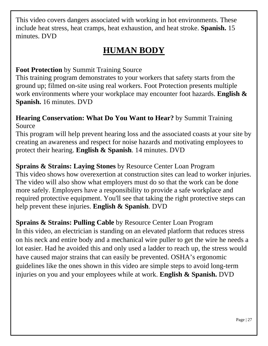<span id="page-26-0"></span>This video covers dangers associated with working in hot environments. These include heat stress, heat cramps, heat exhaustion, and heat stroke. **Spanish.** 15 minutes. DVD

### **HUMAN BODY**

#### **Foot Protection** by Summit Training Source

This training program demonstrates to your workers that safety starts from the ground up; filmed on-site using real workers. Foot Protection presents multiple work environments where your workplace may encounter foot hazards. **English & Spanish.** 16 minutes. DVD

#### **Hearing Conservation: What Do You Want to Hear?** by Summit Training Source

This program will help prevent hearing loss and the associated coasts at your site by creating an awareness and respect for noise hazards and motivating employees to protect their hearing. **English & Spanish**. 14 minutes. DVD

**Sprains & Strains: Laying Stones** by Resource Center Loan Program This video shows how overexertion at construction sites can lead to worker injuries. The video will also show what employers must do so that the work can be done more safely. Employers have a responsibility to provide a safe workplace and required protective equipment. You'll see that taking the right protective steps can help prevent these injuries. **English & Spanish**. DVD

**Sprains & Strains: Pulling Cable** by Resource Center Loan Program In this video, an electrician is standing on an elevated platform that reduces stress on his neck and entire body and a mechanical wire puller to get the wire he needs a lot easier. Had he avoided this and only used a ladder to reach up, the stress would have caused major strains that can easily be prevented. OSHA's ergonomic guidelines like the ones shown in this video are simple steps to avoid long-term injuries on you and your employees while at work. **English & Spanish.** DVD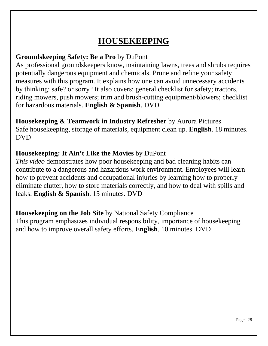## **HOUSEKEEPING**

#### <span id="page-27-0"></span>**Groundskeeping Safety: Be a Pro** by DuPont

As professional groundskeepers know, maintaining lawns, trees and shrubs requires potentially dangerous equipment and chemicals. Prune and refine your safety measures with this program. It explains how one can avoid unnecessary accidents by thinking: safe? or sorry? It also covers: general checklist for safety; tractors, riding mowers, push mowers; trim and brush-cutting equipment/blowers; checklist for hazardous materials. **English & Spanish**. DVD

#### **Housekeeping & Teamwork in Industry Refresher** by Aurora Pictures

Safe housekeeping, storage of materials, equipment clean up. **English**. 18 minutes. DVD

#### **Housekeeping: It Ain't Like the Movies** by DuPont

*This video* demonstrates how poor housekeeping and bad cleaning habits can contribute to a dangerous and hazardous work environment. Employees will learn how to prevent accidents and occupational injuries by learning how to properly eliminate clutter, how to store materials correctly, and how to deal with spills and leaks. **English & Spanish**. 15 minutes. DVD

**Housekeeping on the Job Site** by National Safety Compliance This program emphasizes individual responsibility, importance of housekeeping and how to improve overall safety efforts. **English**. 10 minutes. DVD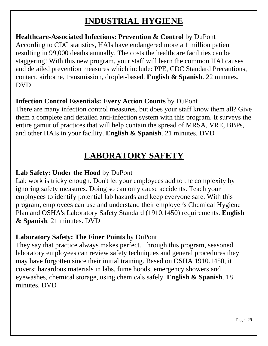### **INDUSTRIAL HYGIENE**

#### <span id="page-28-0"></span>**Healthcare-Associated Infections: Prevention & Control** by DuPont According to CDC statistics, HAIs have endangered more a 1 million patient resulting in 99,000 deaths annually. The costs the healthcare facilities can be staggering! With this new program, your staff will learn the common HAI causes and detailed prevention measures which include: PPE, CDC Standard Precautions, contact, airborne, transmission, droplet-based. **English & Spanish**. 22 minutes. DVD

### **Infection Control Essentials: Every Action Counts** by DuPont

There are many infection control measures, but does your staff know them all? Give them a complete and detailed anti-infection system with this program. It surveys the entire gamut of practices that will help contain the spread of MRSA, VRE, BBPs, and other HAIs in your facility. **English & Spanish**. 21 minutes. DVD

## **LABORATORY SAFETY**

### <span id="page-28-1"></span>**Lab Safety: Under the Hood** by DuPont

Lab work is tricky enough. Don't let your employees add to the complexity by ignoring safety measures. Doing so can only cause accidents. Teach your employees to identify potential lab hazards and keep everyone safe. With this program, employees can use and understand their employer's Chemical Hygiene Plan and OSHA's Laboratory Safety Standard (1910.1450) requirements. **English & Spanish**. 21 minutes. DVD

### **Laboratory Safety: The Finer Points** by DuPont

They say that practice always makes perfect. Through this program, seasoned laboratory employees can review safety techniques and general procedures they may have forgotten since their initial training. Based on OSHA 1910.1450, it covers: hazardous materials in labs, fume hoods, emergency showers and eyewashes, chemical storage, using chemicals safely. **English & Spanish**. 18 minutes. DVD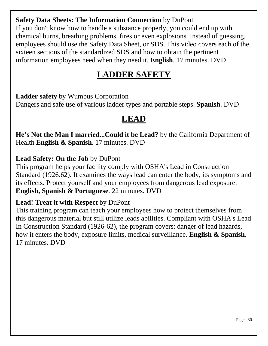#### **Safety Data Sheets: The Information Connection** by DuPont

If you don't know how to handle a substance properly, you could end up with chemical burns, breathing problems, fires or even explosions. Instead of guessing, employees should use the Safety Data Sheet, or SDS. This video covers each of the sixteen sections of the standardized SDS and how to obtain the pertinent information employees need when they need it. **English**. 17 minutes. DVD

### **LADDER SAFETY**

<span id="page-29-1"></span><span id="page-29-0"></span>**Ladder safety** by Wumbus Corporation Dangers and safe use of various ladder types and portable steps. **Spanish**. DVD

### **LEAD**

**He's Not the Man I married...Could it be Lead?** by the California Department of Health **English & Spanish**. 17 minutes. DVD

#### **Lead Safety: On the Job** by DuPont

This program helps your facility comply with OSHA's Lead in Construction Standard (1926.62). It examines the ways lead can enter the body, its symptoms and its effects. Protect yourself and your employees from dangerous lead exposure. **English, Spanish & Portuguese**. 22 minutes. DVD

#### **Lead! Treat it with Respect** by DuPont

This training program can teach your employees how to protect themselves from this dangerous material but still utilize leads abilities. Compliant with OSHA's Lead In Construction Standard (1926-62), the program covers: danger of lead hazards, how it enters the body, exposure limits, medical surveillance. **English & Spanish**. 17 minutes. DVD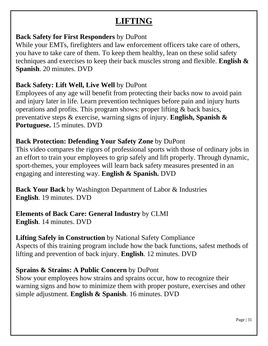### **LIFTING**

#### <span id="page-30-0"></span>**Back Safety for First Responders** by DuPont

While your EMTs, firefighters and law enforcement officers take care of others, you have to take care of them. To keep them healthy, lean on these solid safety techniques and exercises to keep their back muscles strong and flexible. **English & Spanish**. 20 minutes. DVD

#### **Back Safety: Lift Well, Live Well** by DuPont

Employees of any age will benefit from protecting their backs now to avoid pain and injury later in life. Learn prevention techniques before pain and injury hurts operations and profits. This program shows: proper lifting & back basics, preventative steps & exercise, warning signs of injury. **English, Spanish & Portuguese.** 15 minutes. DVD

### **Back Protection: Defending Your Safety Zone** by DuPont

This video compares the rigors of professional sports with those of ordinary jobs in an effort to train your employees to grip safely and lift properly. Through dynamic, sport-themes, your employees will learn back safety measures presented in an engaging and interesting way. **English & Spanish.** DVD

**Back Your Back** by Washington Department of Labor & Industries **English**. 19 minutes. DVD

**Elements of Back Care: General Industry** by CLMI **English**. 14 minutes. DVD

**Lifting Safely in Construction** by National Safety Compliance Aspects of this training program include how the back functions, safest methods of lifting and prevention of back injury. **English**. 12 minutes. DVD

### **Sprains & Strains: A Public Concern** by DuPont

Show your employees how strains and sprains occur, how to recognize their warning signs and how to minimize them with proper posture, exercises and other simple adjustment. **English & Spanish**. 16 minutes. DVD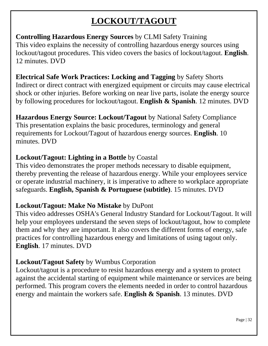## **LOCKOUT/TAGOUT**

#### <span id="page-31-0"></span>**Controlling Hazardous Energy Sources** by CLMI Safety Training This video explains the necessity of controlling hazardous energy sources using lockout/tagout procedures. This video covers the basics of lockout/tagout. **English**. 12 minutes. DVD

#### **Electrical Safe Work Practices: Locking and Tagging** by Safety Shorts

Indirect or direct contract with energized equipment or circuits may cause electrical shock or other injuries. Before working on near live parts, isolate the energy source by following procedures for lockout/tagout. **English & Spanish**. 12 minutes. DVD

#### **Hazardous Energy Source: Lockout/Tagout** by National Safety Compliance This presentation explains the basic procedures, terminology and general requirements for Lockout/Tagout of hazardous energy sources. **English**. 10 minutes. DVD

#### **Lockout/Tagout: Lighting in a Bottle** by Coastal

This video demonstrates the proper methods necessary to disable equipment, thereby preventing the release of hazardous energy. While your employees service or operate industrial machinery, it is imperative to adhere to workplace appropriate safeguards. **English, Spanish & Portuguese (subtitle)**. 15 minutes. DVD

### **Lockout/Tagout: Make No Mistake** by DuPont

This video addresses OSHA's General Industry Standard for Lockout/Tagout. It will help your employees understand the seven steps of lockout/tagout, how to complete them and why they are important. It also covers the different forms of energy, safe practices for controlling hazardous energy and limitations of using tagout only. **English**. 17 minutes. DVD

### **Lockout/Tagout Safety** by Wumbus Corporation

Lockout/tagout is a procedure to resist hazardous energy and a system to protect against the accidental starting of equipment while maintenance or services are being performed. This program covers the elements needed in order to control hazardous energy and maintain the workers safe. **English & Spanish**. 13 minutes. DVD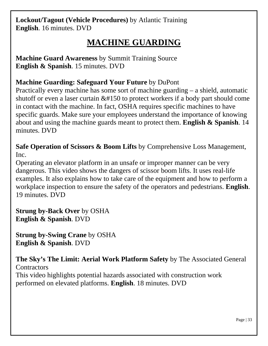**Lockout/Tagout (Vehicle Procedures)** by Atlantic Training **English**. 16 minutes. DVD

### **MACHINE GUARDING**

<span id="page-32-0"></span>**Machine Guard Awareness** by Summit Training Source **English & Spanish**. 15 minutes. DVD

### **Machine Guarding: Safeguard Your Future** by DuPont

Practically every machine has some sort of machine guarding – a shield, automatic shutoff or even a laser curtain  $&\#150$  to protect workers if a body part should come in contact with the machine. In fact, OSHA requires specific machines to have specific guards. Make sure your employees understand the importance of knowing about and using the machine guards meant to protect them. **English & Spanish**. 14 minutes. DVD

**Safe Operation of Scissors & Boom Lifts** by Comprehensive Loss Management, Inc.

Operating an elevator platform in an unsafe or improper manner can be very dangerous. This video shows the dangers of scissor boom lifts. It uses real-life examples. It also explains how to take care of the equipment and how to perform a workplace inspection to ensure the safety of the operators and pedestrians. **English**. 19 minutes. DVD

**Strung by-Back Over** by OSHA **English & Spanish**. DVD

**Strung by-Swing Crane** by OSHA **English & Spanish**. DVD

**The Sky's The Limit: Aerial Work Platform Safety** by The Associated General **Contractors** This video highlights potential hazards associated with construction work performed on elevated platforms. **English**. 18 minutes. DVD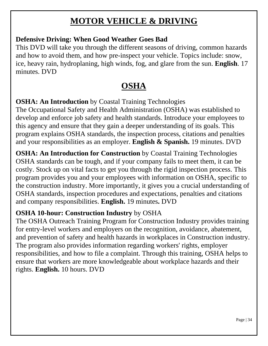### **MOTOR VEHICLE & DRIVING**

#### <span id="page-33-0"></span>**Defensive Driving: When Good Weather Goes Bad**

This DVD will take you through the different seasons of driving, common hazards and how to avoid them, and how pre-inspect your vehicle. Topics include: snow, ice, heavy rain, hydroplaning, high winds, fog, and glare from the sun. **English**. 17 minutes. DVD

### **OSHA**

<span id="page-33-1"></span>**OSHA: An Introduction** by Coastal Training Technologies

The Occupational Safety and Health Administration (OSHA) was established to develop and enforce job safety and health standards. Introduce your employees to this agency and ensure that they gain a deeper understanding of its goals. This program explains OSHA standards, the inspection process, citations and penalties and your responsibilities as an employer. **English & Spanish.** 19 minutes. DVD

**OSHA: An Introduction for Construction** by Coastal Training Technologies OSHA standards can be tough, and if your company fails to meet them, it can be costly. Stock up on vital facts to get you through the rigid inspection process. This program provides you and your employees with information on OSHA, specific to the construction industry. More importantly, it gives you a crucial understanding of OSHA standards, inspection procedures and expectations, penalties and citations and company responsibilities. **English.** 19 minutes**.** DVD

#### **OSHA 10-hour: Construction Industry** by OSHA

The OSHA Outreach Training Program for Construction Industry provides training for entry-level workers and employers on the recognition, avoidance, abatement, and prevention of safety and health hazards in workplaces in Construction industry. The program also provides information regarding workers' rights, employer responsibilities, and how to file a complaint. Through this training, OSHA helps to ensure that workers are more knowledgeable about workplace hazards and their rights. **English.** 10 hours. DVD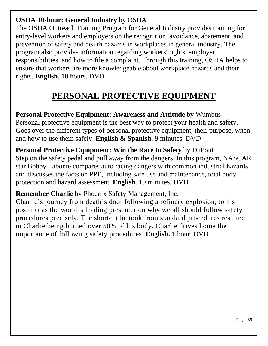### **OSHA 10-hour: General Industry** by OSHA

The OSHA Outreach Training Program for General Industry provides training for entry-level workers and employers on the recognition, avoidance, abatement, and prevention of safety and health hazards in workplaces in general industry. The program also provides information regarding workers' rights, employer responsibilities, and how to file a complaint. Through this training, OSHA helps to ensure that workers are more knowledgeable about workplace hazards and their rights. **English**. 10 hours. DVD

## **PERSONAL PROTECTIVE EQUIPMENT**

<span id="page-34-0"></span>**Personal Protective Equipment: Awareness and Attitude** by Wumbus Personal protective equipment is the best way to protect your health and safety. Goes over the different types of personal protective equipment, their purpose, when and how to use them safely. **English & Spanish.** 9 minutes. DVD

**Personal Protective Equipment: Win the Race to Safety** by DuPont Step on the safety pedal and pull away from the dangers. In this program, NASCAR star Bobby Labonte compares auto racing dangers with common industrial hazards and discusses the facts on PPE, including safe use and maintenance, total body protection and hazard assessment. **English**. 19 minutes. DVD

**Remember Charlie** by Phoenix Safety Management, Inc.

Charlie's journey from death's door following a refinery explosion, to his position as the world's leading presenter on why we all should follow safety procedures precisely. The shortcut he took from standard procedures resulted in Charlie being burned over 50% of his body. Charlie drives home the importance of following safety procedures. **English.** 1 hour. DVD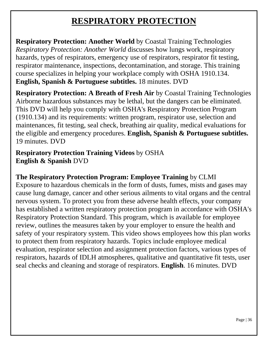### **RESPIRATORY PROTECTION**

<span id="page-35-0"></span>**Respiratory Protection: Another World** by Coastal Training Technologies *Respiratory Protection: Another World* discusses how lungs work, respiratory hazards, types of respirators, emergency use of respirators, respirator fit testing, respirator maintenance, inspections, decontamination, and storage. This training course specializes in helping your workplace comply with OSHA 1910.134. **English, Spanish & Portuguese subtitles.** 18 minutes. DVD

**Respiratory Protection: A Breath of Fresh Air** by Coastal Training Technologies Airborne hazardous substances may be lethal, but the dangers can be eliminated. This DVD will help you comply with OSHA's Respiratory Protection Program (1910.134) and its requirements: written program, respirator use, selection and maintenances, fit testing, seal check, breathing air quality, medical evaluations for the eligible and emergency procedures. **English, Spanish & Portuguese subtitles.**  19 minutes. DVD

**Respiratory Protection Training Videos** by OSHA **English & Spanish** DVD

#### **The Respiratory Protection Program: Employee Training** by CLMI

Exposure to hazardous chemicals in the form of dusts, fumes, mists and gases may cause lung damage, cancer and other serious ailments to vital organs and the central nervous system. To protect you from these adverse health effects, your company has established a written respiratory protection program in accordance with OSHA's Respiratory Protection Standard. This program, which is available for employee review, outlines the measures taken by your employer to ensure the health and safety of your respiratory system. This video shows employees how this plan works to protect them from respiratory hazards. Topics include employee medical evaluation, respirator selection and assignment protection factors, various types of respirators, hazards of IDLH atmospheres, qualitative and quantitative fit tests, user seal checks and cleaning and storage of respirators. **English**. 16 minutes. DVD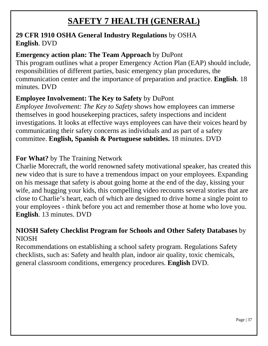### **SAFETY 7 HEALTH (GENERAL)**

#### <span id="page-36-0"></span>**29 CFR 1910 OSHA General Industry Regulations** by OSHA **English**. DVD

#### **Emergency action plan: The Team Approach** by DuPont

This program outlines what a proper Emergency Action Plan (EAP) should include, responsibilities of different parties, basic emergency plan procedures, the communication center and the importance of preparation and practice. **English**. 18 minutes. DVD

### **Employee Involvement: The Key to Safety** by DuPont

*Employee Involvement: The Key to Safety* shows how employees can immerse themselves in good housekeeping practices, safety inspections and incident investigations. It looks at effective ways employees can have their voices heard by communicating their safety concerns as individuals and as part of a safety committee. **English, Spanish & Portuguese subtitles.** 18 minutes. DVD

#### **For What?** by The Training Network

Charlie Morecraft, the world renowned safety motivational speaker, has created this new video that is sure to have a tremendous impact on your employees. Expanding on his message that safety is about going home at the end of the day, kissing your wife, and hugging your kids, this compelling video recounts several stories that are close to Charlie's heart, each of which are designed to drive home a single point to your employees - think before you act and remember those at home who love you. **English**. 13 minutes. DVD

#### **NIOSH Safety Checklist Program for Schools and Other Safety Databases** by NIOSH

Recommendations on establishing a school safety program. Regulations Safety checklists, such as: Safety and health plan, indoor air quality, toxic chemicals, general classroom conditions, emergency procedures. **English** DVD.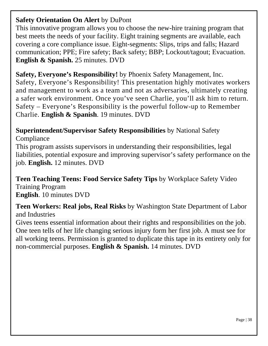#### **Safety Orientation On Alert** by DuPont

This innovative program allows you to choose the new-hire training program that best meets the needs of your facility. Eight training segments are available, each covering a core compliance issue. Eight-segments: Slips, trips and falls; Hazard communication; PPE; Fire safety; Back safety; BBP; Lockout/tagout; Evacuation. **English & Spanish.** 25 minutes. DVD

#### **Safety, Everyone's Responsibility!** by Phoenix Safety Management, Inc.

Safety, Everyone's Responsibility! This presentation highly motivates workers and management to work as a team and not as adversaries, ultimately creating a safer work environment. Once you've seen Charlie, you'll ask him to return. Safety – Everyone's Responsibility is the powerful follow-up to Remember Charlie. **English & Spanish**. 19 minutes. DVD

## **Superintendent/Supervisor Safety Responsibilities** by National Safety

Compliance

This program assists supervisors in understanding their responsibilities, legal liabilities, potential exposure and improving supervisor's safety performance on the job. **English.** 12 minutes. DVD

**Teen Teaching Teens: Food Service Safety Tips** by Workplace Safety Video Training Program **English**. 10 minutes DVD

**Teen Workers: Real jobs, Real Risks** by Washington State Department of Labor and Industries

Gives teens essential information about their rights and responsibilities on the job. One teen tells of her life changing serious injury form her first job. A must see for all working teens. Permission is granted to duplicate this tape in its entirety only for non-commercial purposes. **English & Spanish.** 14 minutes. DVD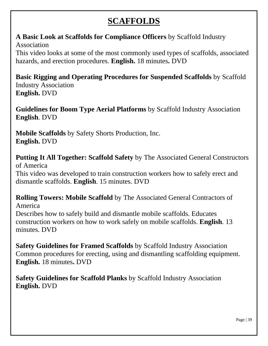### **SCAFFOLDS**

#### <span id="page-38-0"></span>**A Basic Look at Scaffolds for Compliance Officers** by Scaffold Industry Association

This video looks at some of the most commonly used types of scaffolds, associated hazards, and erection procedures. **English.** 18 minutes**.** DVD

**Basic Rigging and Operating Procedures for Suspended Scaffolds** by Scaffold Industry Association **English.** DVD

**Guidelines for Boom Type Aerial Platforms** by Scaffold Industry Association **English**. DVD

**Mobile Scaffolds** by Safety Shorts Production, Inc. **English.** DVD

**Putting It All Together: Scaffold Safety** by The Associated General Constructors of America

This video was developed to train construction workers how to safely erect and dismantle scaffolds. **English**. 15 minutes. DVD

**Rolling Towers: Mobile Scaffold** by The Associated General Contractors of America

Describes how to safely build and dismantle mobile scaffolds. Educates construction workers on how to work safely on mobile scaffolds. **English**. 13 minutes. DVD

**Safety Guidelines for Framed Scaffolds** by Scaffold Industry Association Common procedures for erecting, using and dismantling scaffolding equipment. **English.** 18 minutes**.** DVD

**Safety Guidelines for Scaffold Planks** by Scaffold Industry Association **English.** DVD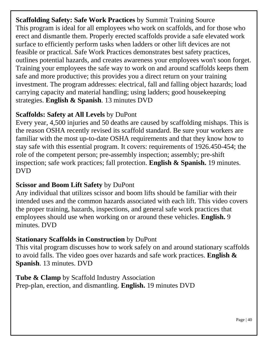**Scaffolding Safety: Safe Work Practices** by Summit Training Source This program is ideal for all employees who work on scaffolds, and for those who erect and dismantle them. Properly erected scaffolds provide a safe elevated work surface to efficiently perform tasks when ladders or other lift devices are not feasible or practical. Safe Work Practices demonstrates best safety practices, outlines potential hazards, and creates awareness your employees won't soon forget. Training your employees the safe way to work on and around scaffolds keeps them safe and more productive; this provides you a direct return on your training investment. The program addresses: electrical, fall and falling object hazards; load carrying capacity and material handling; using ladders; good housekeeping strategies. **English & Spanish**. 13 minutes DVD

#### **Scaffolds: Safety at All Levels** by DuPont

Every year, 4,500 injuries and 50 deaths are caused by scaffolding mishaps. This is the reason OSHA recently revised its scaffold standard. Be sure your workers are familiar with the most up-to-date OSHA requirements and that they know how to stay safe with this essential program. It covers: requirements of 1926.450-454; the role of the competent person; pre-assembly inspection; assembly; pre-shift inspection; safe work practices; fall protection. **English & Spanish.** 19 minutes. DVD

### **Scissor and Boom Lift Safety** by DuPont

Any individual that utilizes scissor and boom lifts should be familiar with their intended uses and the common hazards associated with each lift. This video covers the proper training, hazards, inspections, and general safe work practices that employees should use when working on or around these vehicles. **English.** 9 minutes. DVD

### **Stationary Scaffolds in Construction** by DuPont

This vital program discusses how to work safely on and around stationary scaffolds to avoid falls. The video goes over hazards and safe work practices. **English & Spanish**. 13 minutes. DVD

**Tube & Clamp** by Scaffold Industry Association Prep-plan, erection, and dismantling. **English.** 19 minutes DVD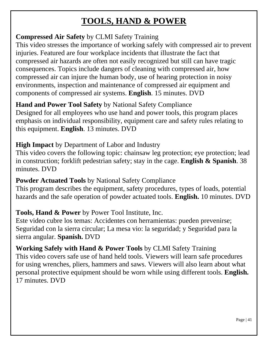## **TOOLS, HAND & POWER**

<span id="page-40-0"></span>**Compressed Air Safety** by CLMI Safety Training

This video stresses the importance of working safely with compressed air to prevent injuries. Featured are four workplace incidents that illustrate the fact that compressed air hazards are often not easily recognized but still can have tragic consequences. Topics include dangers of cleaning with compressed air, how compressed air can injure the human body, use of hearing protection in noisy environments, inspection and maintenance of compressed air equipment and components of compressed air systems. **English**. 15 minutes. DVD

**Hand and Power Tool Safety** by National Safety Compliance Designed for all employees who use hand and power tools, this program places emphasis on individual responsibility, equipment care and safety rules relating to this equipment. **English**. 13 minutes. DVD

#### **High Impact** by Department of Labor and Industry

This video covers the following topic: chainsaw leg protection; eye protection; lead in construction; forklift pedestrian safety; stay in the cage. **English & Spanish**. 38 minutes. DVD

#### **Powder Actuated Tools** by National Safety Compliance

This program describes the equipment, safety procedures, types of loads, potential hazards and the safe operation of powder actuated tools. **English.** 10 minutes. DVD

#### **Tools, Hand & Power** by Power Tool Institute, Inc.

Este video cubre los temas: Accidentes con herramientas: pueden prevenirse; Seguridad con la sierra circular; La mesa vio: la seguridad; y Seguridad para la sierra angular. **Spanish.** DVD

**Working Safely with Hand & Power Tools** by CLMI Safety Training This video covers safe use of hand held tools. Viewers will learn safe procedures for using wrenches, pliers, hammers and saws. Viewers will also learn about what personal protective equipment should be worn while using different tools. **English.** 17 minutes. DVD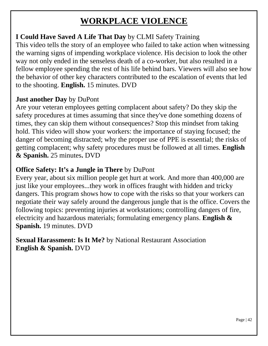### **WORKPLACE VIOLENCE**

### <span id="page-41-0"></span>**I Could Have Saved A Life That Day** by CLMI Safety Training

This video tells the story of an employee who failed to take action when witnessing the warning signs of impending workplace violence. His decision to look the other way not only ended in the senseless death of a co-worker, but also resulted in a fellow employee spending the rest of his life behind bars. Viewers will also see how the behavior of other key characters contributed to the escalation of events that led to the shooting. **English.** 15 minutes. DVD

#### **Just another Day** by DuPont

Are your veteran employees getting complacent about safety? Do they skip the safety procedures at times assuming that since they've done something dozens of times, they can skip them without consequences? Stop this mindset from taking hold. This video will show your workers: the importance of staying focused; the danger of becoming distracted; why the proper use of PPE is essential; the risks of getting complacent; why safety procedures must be followed at all times. **English & Spanish.** 25 minutes**.** DVD

#### **Office Safety: It's a Jungle in There** by DuPont

Every year, about six million people get hurt at work. And more than 400,000 are just like your employees...they work in offices fraught with hidden and tricky dangers. This program shows how to cope with the risks so that your workers can negotiate their way safely around the dangerous jungle that is the office. Covers the following topics: preventing injuries at workstations; controlling dangers of fire, electricity and hazardous materials; formulating emergency plans. **English & Spanish.** 19 minutes. DVD

**Sexual Harassment: Is It Me?** by National Restaurant Association **English & Spanish.** DVD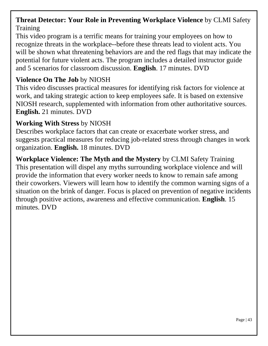#### **Threat Detector: Your Role in Preventing Workplace Violence** by CLMI Safety **Training**

This video program is a terrific means for training your employees on how to recognize threats in the workplace--before these threats lead to violent acts. You will be shown what threatening behaviors are and the red flags that may indicate the potential for future violent acts. The program includes a detailed instructor guide and 5 scenarios for classroom discussion. **English**. 17 minutes. DVD

#### **Violence On The Job** by NIOSH

This video discusses practical measures for identifying risk factors for violence at work, and taking strategic action to keep employees safe. It is based on extensive NIOSH research, supplemented with information from other authoritative sources. **English.** 21 minutes. DVD

#### **Working With Stress** by NIOSH

Describes workplace factors that can create or exacerbate worker stress, and suggests practical measures for reducing job-related stress through changes in work organization. **English.** 18 minutes. DVD

**Workplace Violence: The Myth and the Mystery** by CLMI Safety Training This presentation will dispel any myths surrounding workplace violence and will provide the information that every worker needs to know to remain safe among their coworkers. Viewers will learn how to identify the common warning signs of a situation on the brink of danger. Focus is placed on prevention of negative incidents through positive actions, awareness and effective communication. **English**. 15 minutes. DVD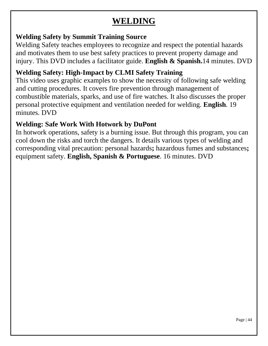### **WELDING**

#### <span id="page-43-0"></span>**Welding Safety by Summit Training Source**

Welding Safety teaches employees to recognize and respect the potential hazards and motivates them to use best safety practices to prevent property damage and injury. This DVD includes a facilitator guide. **English & Spanish.**14 minutes. DVD

### **Welding Safety: High-Impact by CLMI Safety Training**

This video uses graphic examples to show the necessity of following safe welding and cutting procedures. It covers fire prevention through management of combustible materials, sparks, and use of fire watches. It also discusses the proper personal protective equipment and ventilation needed for welding. **English**. 19 minutes. DVD

### **Welding: Safe Work With Hotwork by DuPont**

In hotwork operations, safety is a burning issue. But through this program, you can cool down the risks and torch the dangers. It details various types of welding and corresponding vital precaution: personal hazards**;** hazardous fumes and substances**;**  equipment safety. **English, Spanish & Portuguese**. 16 minutes. DVD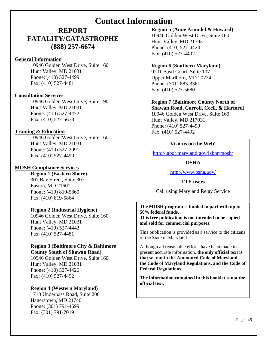### **Contact Information**

#### <span id="page-44-0"></span>**REPORT FATALITY/CATASTROPHE (888) 257-6674**

#### **General Information**

10946 Golden West Drive, Suite 160 Hunt Valley, MD 21031 Phone: (410) 527-4499 Fax: (410) 527-4481

#### **Consultation Services**

10946 Golden West Drive, Suite 190 Hunt Valley, MD 21031 Phone: (410) 527-4472 Fax: (410) 527-5678

#### **Training & Education**

10946 Golden West Drive, Suite 160 Hunt Valley, MD 21031 Phone: (410) 527-2091 Fax: (410) 527-4490

#### **MOSH Compliance Services**

**Region 1 (Eastern Shore)** 301 Bay Street, Suite 307 Easton, MD 21601 Phone: (410) 819-5860 Fax: (410) 819-5864

#### **Region 2 (Industrial Hygiene)**

10946 Golden West Drive, Suite 160 Hunt Valley, MD 21031 Phone: (410) 527-4442 Fax: (410) 527-4481

#### **Region 3 (Baltimore City & Baltimore County South of Shawan Road)**

10946 Golden West Drive, Suite 160 Hunt Valley, MD 21031 Phone: (410) 527-4426 Fax: (410) 527-4492

#### **Region 4 (Western Maryland)**

1710 Underpass Road, Suite 200 Hagerstown, MD 21740 Phone: (301) 791-4699 Fax: (301) 791-7019

#### **Region 5 (Anne Arundel & Howard)**

10946 Golden West Drive, Suite 160 Hunt Valley, MD 217031 Phone: (410) 527-4424 Fax: (410) 527-4492

#### **Region 6 (Southern Maryland)**

9201 Basil Court, Suite 107 Upper Marlboro, MD 20774 Phone: (301) 883-3361 Fax: (410) 527-5680

#### **Region 7 (Baltimore County North of**

**Shawan Road, Carroll, Cecil, & Harford)** 10946 Golden West Drive, Suite 160 Hunt Valley, MD 217031 Phone: (410) 527-4499 Fax: (410) 527-4492

#### **Visit us on the Web!**

<http://labor.maryland.gov/labor/mosh/>

#### **OSHA**

<http://www.osha.gov/>

#### **TTY users**

Call using Maryland Relay Service

#### **The MOSH program is funded in part with up to 50% federal funds.**

**This free publication is not intended to be copied and sold for commercial purposes.**

This publication is provided as a service to the citizens of the State of Maryland.

Although all reasonable efforts have been made to present accurate information, **the only official text is that set out in the Annotated Code of Maryland, the Code of Maryland Regulations, and the Code of Federal Regulations.**

**The information contained in this booklet is not the official text.**